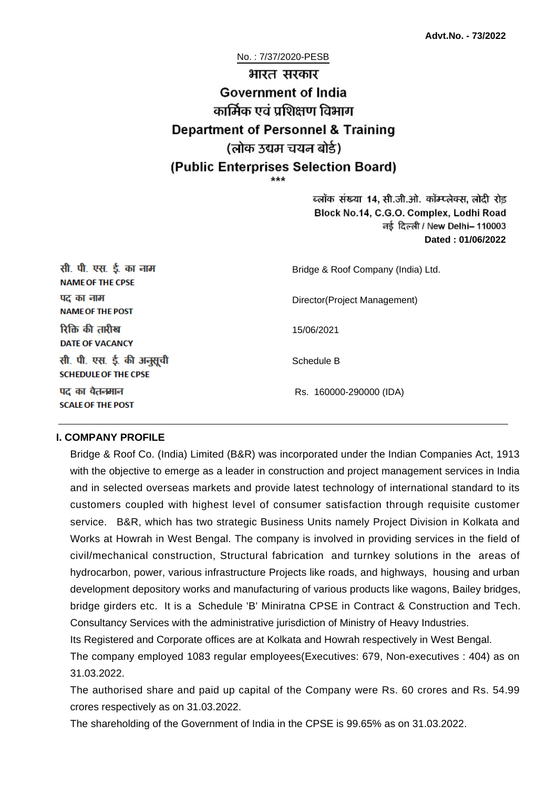# No. : 7/37/2020-PESB भारत सरकार **Government of India** कार्मिक एवं पशिक्षण विभाग **Department of Personnel & Training** (लोक उद्यम चयन बोर्ड) (Public Enterprises Selection Board)

ब्लॉक संख्या 14, सी.जी.ओ. कॉम्प्लेक्स, लोदी रोड Block No.14, C.G.O. Complex, Lodhi Road ਰई दिल्ली / New Delhi– 110003 **Dated : 01/06/2022**

| सी. पी. एस. ई. का नाम<br><b>NAME OF THE CPSE</b>         | Bridge & Roof Company (India) Ltd. |
|----------------------------------------------------------|------------------------------------|
| पद का नाम<br><b>NAME OF THE POST</b>                     | Director(Project Management)       |
| रिक्ति की तारीख<br>DATE OF VACANCY                       | 15/06/2021                         |
| सी. पी. एस. ई. की अनुसूची<br><b>SCHEDULE OF THE CPSE</b> | Schedule B                         |
| पद का वेतनमान<br><b>SCALE OF THE POST</b>                | Rs. 160000-290000 (IDA)            |

#### **I. COMPANY PROFILE**

Bridge & Roof Co. (India) Limited (B&R) was incorporated under the Indian Companies Act, 1913 with the objective to emerge as a leader in construction and project management services in India and in selected overseas markets and provide latest technology of international standard to its customers coupled with highest level of consumer satisfaction through requisite customer service. B&R, which has two strategic Business Units namely Project Division in Kolkata and Works at Howrah in West Bengal. The company is involved in providing services in the field of civil/mechanical construction, Structural fabrication and turnkey solutions in the areas of hydrocarbon, power, various infrastructure Projects like roads, and highways, housing and urban development depository works and manufacturing of various products like wagons, Bailey bridges, bridge girders etc. It is a Schedule 'B' Miniratna CPSE in Contract & Construction and Tech. Consultancy Services with the administrative jurisdiction of Ministry of Heavy Industries.

Its Registered and Corporate offices are at Kolkata and Howrah respectively in West Bengal.

The company employed 1083 regular employees(Executives: 679, Non-executives : 404) as on 31.03.2022.

The authorised share and paid up capital of the Company were Rs. 60 crores and Rs. 54.99 crores respectively as on 31.03.2022.

The shareholding of the Government of India in the CPSE is 99.65% as on 31.03.2022.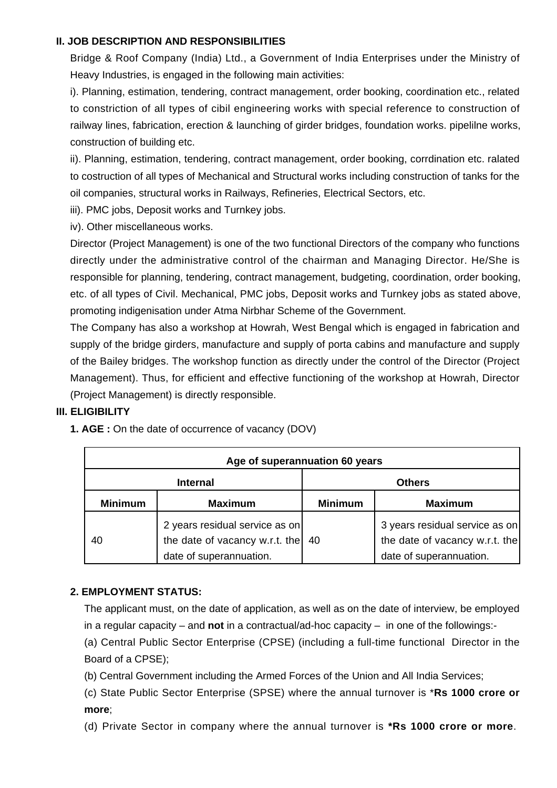#### **II. JOB DESCRIPTION AND RESPONSIBILITIES**

Bridge & Roof Company (India) Ltd., a Government of India Enterprises under the Ministry of Heavy Industries, is engaged in the following main activities:

i). Planning, estimation, tendering, contract management, order booking, coordination etc., related to constriction of all types of cibil engineering works with special reference to construction of railway lines, fabrication, erection & launching of girder bridges, foundation works. pipelilne works, construction of building etc.

ii). Planning, estimation, tendering, contract management, order booking, corrdination etc. ralated to costruction of all types of Mechanical and Structural works including construction of tanks for the oil companies, structural works in Railways, Refineries, Electrical Sectors, etc.

iii). PMC jobs, Deposit works and Turnkey jobs.

iv). Other miscellaneous works.

Director (Project Management) is one of the two functional Directors of the company who functions directly under the administrative control of the chairman and Managing Director. He/She is responsible for planning, tendering, contract management, budgeting, coordination, order booking, etc. of all types of Civil. Mechanical, PMC jobs, Deposit works and Turnkey jobs as stated above, promoting indigenisation under Atma Nirbhar Scheme of the Government.

The Company has also a workshop at Howrah, West Bengal which is engaged in fabrication and supply of the bridge girders, manufacture and supply of porta cabins and manufacture and supply of the Bailey bridges. The workshop function as directly under the control of the Director (Project Management). Thus, for efficient and effective functioning of the workshop at Howrah, Director (Project Management) is directly responsible.

#### **III. ELIGIBILITY**

|  |  | 1. AGE: On the date of occurrence of vacancy (DOV) |  |  |  |
|--|--|----------------------------------------------------|--|--|--|
|  |  |                                                    |  |  |  |

| Age of superannuation 60 years |                                                                                             |                |                                                                                             |  |  |  |  |  |
|--------------------------------|---------------------------------------------------------------------------------------------|----------------|---------------------------------------------------------------------------------------------|--|--|--|--|--|
|                                | <b>Internal</b>                                                                             | <b>Others</b>  |                                                                                             |  |  |  |  |  |
| <b>Minimum</b>                 | <b>Maximum</b>                                                                              | <b>Minimum</b> | <b>Maximum</b>                                                                              |  |  |  |  |  |
| 40                             | 2 years residual service as on<br>the date of vacancy w.r.t. the<br>date of superannuation. | 40             | 3 years residual service as on<br>the date of vacancy w.r.t. the<br>date of superannuation. |  |  |  |  |  |

# **2. EMPLOYMENT STATUS:**

The applicant must, on the date of application, as well as on the date of interview, be employed in a regular capacity – and **not** in a contractual/ad-hoc capacity – in one of the followings:-

(a) Central Public Sector Enterprise (CPSE) (including a full-time functional Director in the Board of a CPSE);

(b) Central Government including the Armed Forces of the Union and All India Services;

(c) State Public Sector Enterprise (SPSE) where the annual turnover is \***Rs 1000 crore or more**;

(d) Private Sector in company where the annual turnover is **\*Rs 1000 crore or more**.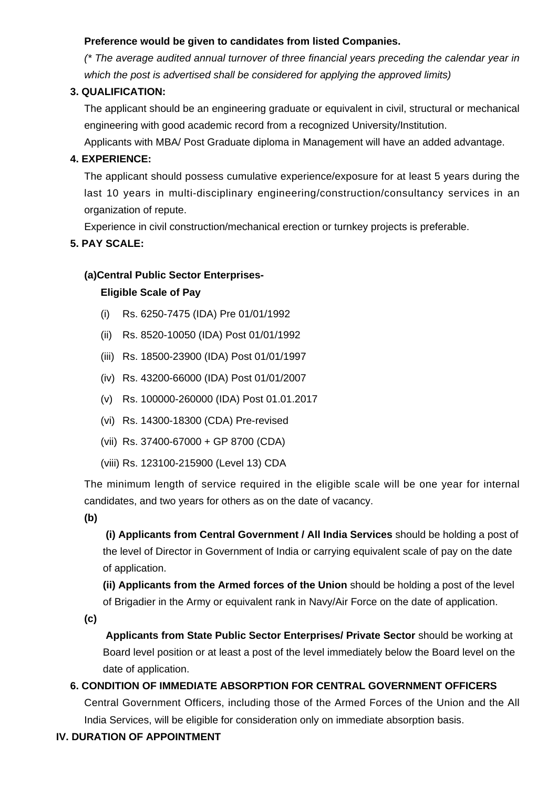# **Preference would be given to candidates from listed Companies.**

(\* The average audited annual turnover of three financial years preceding the calendar year in which the post is advertised shall be considered for applying the approved limits)

# **3. QUALIFICATION:**

The applicant should be an engineering graduate or equivalent in civil, structural or mechanical engineering with good academic record from a recognized University/Institution.

Applicants with MBA/ Post Graduate diploma in Management will have an added advantage.

# **4. EXPERIENCE:**

The applicant should possess cumulative experience/exposure for at least 5 years during the last 10 years in multi-disciplinary engineering/construction/consultancy services in an organization of repute.

Experience in civil construction/mechanical erection or turnkey projects is preferable.

# **5. PAY SCALE:**

#### **(a)Central Public Sector Enterprises-**

#### **Eligible Scale of Pay**

- (i) Rs. 6250-7475 (IDA) Pre 01/01/1992
- (ii) Rs. 8520-10050 (IDA) Post 01/01/1992
- (iii) Rs. 18500-23900 (IDA) Post 01/01/1997
- (iv) Rs. 43200-66000 (IDA) Post 01/01/2007
- (v) Rs. 100000-260000 (IDA) Post 01.01.2017
- (vi) Rs. 14300-18300 (CDA) Pre-revised
- (vii) Rs. 37400-67000 + GP 8700 (CDA)
- (viii) Rs. 123100-215900 (Level 13) CDA

The minimum length of service required in the eligible scale will be one year for internal candidates, and two years for others as on the date of vacancy.

**(b)**

**(i) Applicants from Central Government / All India Services** should be holding a post of the level of Director in Government of India or carrying equivalent scale of pay on the date of application.

**(ii) Applicants from the Armed forces of the Union** should be holding a post of the level of Brigadier in the Army or equivalent rank in Navy/Air Force on the date of application.

**(c)**

 **Applicants from State Public Sector Enterprises/ Private Sector** should be working at Board level position or at least a post of the level immediately below the Board level on the date of application.

# **6. CONDITION OF IMMEDIATE ABSORPTION FOR CENTRAL GOVERNMENT OFFICERS**

Central Government Officers, including those of the Armed Forces of the Union and the All India Services, will be eligible for consideration only on immediate absorption basis.

# **IV. DURATION OF APPOINTMENT**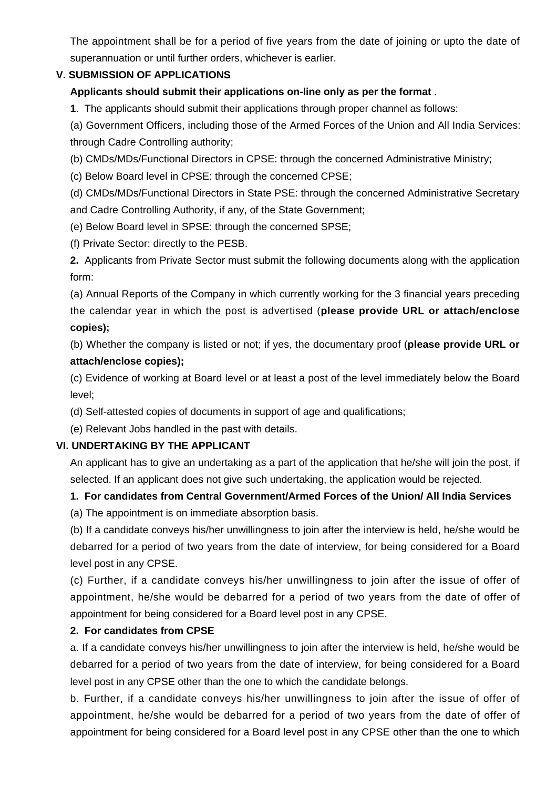The appointment shall be for a period of five years from the date of joining or upto the date of superannuation or until further orders, whichever is earlier.

# **V. SUBMISSION OF APPLICATIONS**

# **Applicants should submit their applications on-line only as per the format** .

**1**. The applicants should submit their applications through proper channel as follows:

(a) Government Officers, including those of the Armed Forces of the Union and All India Services: through Cadre Controlling authority;

(b) CMDs/MDs/Functional Directors in CPSE: through the concerned Administrative Ministry;

(c) Below Board level in CPSE: through the concerned CPSE;

(d) CMDs/MDs/Functional Directors in State PSE: through the concerned Administrative Secretary and Cadre Controlling Authority, if any, of the State Government;

(e) Below Board level in SPSE: through the concerned SPSE;

(f) Private Sector: directly to the PESB.

**2.** Applicants from Private Sector must submit the following documents along with the application form:

(a) Annual Reports of the Company in which currently working for the 3 financial years preceding the calendar year in which the post is advertised (**please provide URL or attach/enclose copies);**

(b) Whether the company is listed or not; if yes, the documentary proof (**please provide URL or attach/enclose copies);**

(c) Evidence of working at Board level or at least a post of the level immediately below the Board level;

- (d) Self-attested copies of documents in support of age and qualifications;
- (e) Relevant Jobs handled in the past with details.

#### **VI. UNDERTAKING BY THE APPLICANT**

An applicant has to give an undertaking as a part of the application that he/she will join the post, if selected. If an applicant does not give such undertaking, the application would be rejected.

# **1. For candidates from Central Government/Armed Forces of the Union/ All India Services**

(a) The appointment is on immediate absorption basis.

(b) If a candidate conveys his/her unwillingness to join after the interview is held, he/she would be debarred for a period of two years from the date of interview, for being considered for a Board level post in any CPSE.

(c) Further, if a candidate conveys his/her unwillingness to join after the issue of offer of appointment, he/she would be debarred for a period of two years from the date of offer of appointment for being considered for a Board level post in any CPSE.

#### **2. For candidates from CPSE**

a. If a candidate conveys his/her unwillingness to join after the interview is held, he/she would be debarred for a period of two years from the date of interview, for being considered for a Board level post in any CPSE other than the one to which the candidate belongs.

b. Further, if a candidate conveys his/her unwillingness to join after the issue of offer of appointment, he/she would be debarred for a period of two years from the date of offer of appointment for being considered for a Board level post in any CPSE other than the one to which